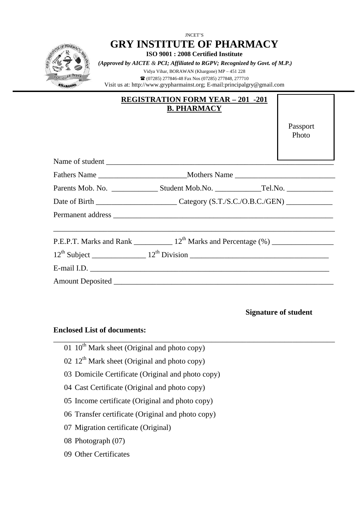

| $\bf{A}$ $\bf{B}$ $\bf{B}$ $\bf{A}$ $\bf{A}$ $\bf{I}$ $\bf{O}$ $\bf{N}$ $\bf{N}$ $\bf{B}$ $\bf{B}$ $\bf{A}$ $\bf{N}$ $\bf{S}$ $\bf{S}$ $\bf{I}$ $\bf{N}$ $\bf{A}$ $\bf{I}$ $\bf{O}$ $\bf{N}$ $\bf{N}$ $\bf{I}$ $\bf{B}$ $\bf{N}$ $\bf{N}$ $\bf{N}$ $\bf{N$<br><b>B. PHARMACY</b> |                   |
|----------------------------------------------------------------------------------------------------------------------------------------------------------------------------------------------------------------------------------------------------------------------------------|-------------------|
|                                                                                                                                                                                                                                                                                  | Passport<br>Photo |
|                                                                                                                                                                                                                                                                                  |                   |
|                                                                                                                                                                                                                                                                                  |                   |
|                                                                                                                                                                                                                                                                                  |                   |
|                                                                                                                                                                                                                                                                                  |                   |
|                                                                                                                                                                                                                                                                                  |                   |
|                                                                                                                                                                                                                                                                                  |                   |
|                                                                                                                                                                                                                                                                                  |                   |
|                                                                                                                                                                                                                                                                                  |                   |
|                                                                                                                                                                                                                                                                                  |                   |
|                                                                                                                                                                                                                                                                                  |                   |

\_\_\_\_\_\_\_\_\_\_\_\_\_\_\_\_\_\_\_\_\_\_\_\_\_\_\_\_\_\_\_\_\_\_\_\_\_\_\_\_\_\_\_\_\_\_\_\_\_\_\_\_\_\_\_\_\_\_\_\_\_\_\_\_\_\_\_\_\_\_\_\_\_

**Signature of student**

## **Enclosed List of documents:**

- 01  $10^{\text{th}}$  Mark sheet (Original and photo copy)
- 02  $12<sup>th</sup>$  Mark sheet (Original and photo copy)
- 03 Domicile Certificate (Original and photo copy)
- 04 Cast Certificate (Original and photo copy)
- 05 Income certificate (Original and photo copy)
- 06 Transfer certificate (Original and photo copy)
- 07 Migration certificate (Original)
- 08 Photograph (07)
- 09 Other Certificates